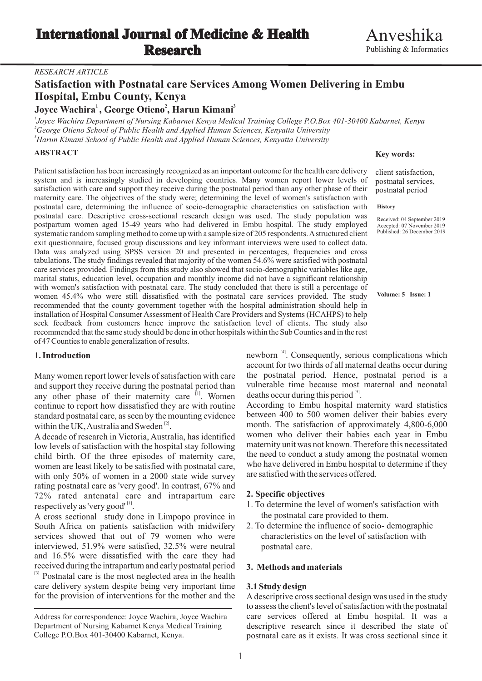## *RESEARCH ARTICLE*

# **Satisfaction with Postnatal care Services Among Women Delivering in Embu Hospital, Embu County, Kenya**

## **1 2 3 Joyce Wachira , George Otieno , Harun Kimani**

*1 Joyce Wachira Department of Nursing Kabarnet Kenya Medical Training College P.O.Box 401-30400 Kabarnet, Kenya <sup>2</sup>George Otieno School of Public Health and Applied Human Sciences, Kenyatta University <sup>3</sup>Harun Kimani School of Public Health and Applied Human Sciences, Kenyatta University*

## **ABSTRACT**

Patient satisfaction has been increasingly recognized as an important outcome for the health care delivery system and is increasingly studied in developing countries. Many women report lower levels of satisfaction with care and support they receive during the postnatal period than any other phase of their maternity care. The objectives of the study were; determining the level of women's satisfaction with postnatal care, determining the influence of socio-demographic characteristics on satisfaction with postnatal care. Descriptive cross-sectional research design was used. The study population was postpartum women aged 15-49 years who had delivered in Embu hospital. The study employed systematic random sampling method to come up with a sample size of 205 respondents. Astructured client exit questionnaire, focused group discussions and key informant interviews were used to collect data. Data was analyzed using SPSS version 20 and presented in percentages, frequencies and cross tabulations. The study findings revealed that majority of the women 54.6% were satisfied with postnatal care services provided. Findings from this study also showed that socio-demographic variables like age, marital status, education level, occupation and monthly income did not have a significant relationship with women's satisfaction with postnatal care. The study concluded that there is still a percentage of women 45.4% who were still dissatisfied with the postnatal care services provided. The study recommended that the county government together with the hospital administration should help in installation of Hospital Consumer Assessment of Health Care Providers and Systems (HCAHPS) to help seek feedback from customers hence improve the satisfaction level of clients. The study also recommended that the same study should be done in other hospitals within the Sub Counties and in the rest of 47 Counties to enable generalization of results.

and support they receive during the postnatal period than any other phase of their maternity care  $\frac{[1]}{[1]}$ . Women deaths occur during this period  $\frac{[5]}{[1]}$ .<br>continue to report how dissatisfied they are with routine According to Embu hospital maternity ward statistics continue to report how dissatisfied they are with routine<br>standard maternity ward statistics to report how dissatisfied they are with routine evidence<br>between 400 to 500 women deliver their babies every standard postnatal care, as seen by the mounting evidence within the UK, Australia and Sweden  $^{[2]}$ . month. The satisfaction of approximately 4,800-6,000

low levels of satisfaction with the hospital stay following child birth. Of the three episodes of maternity care, the need to conduct a study among the postnatal women<br>women are least likely to be satisfied with postnatal care who have delivered in Embu hospital to determine if the women are least likely to be satisfied with postnatal care, who have delivered in Embu hospital with only  $50\%$  of women in a 2000 state wide survey are satisfied with the services offered. with only  $50\%$  of women in a 2000 state wide survey rating postnatal care as 'very good'. In contrast, 67% and 72% rated antenatal care and intrapartum care **2. Specific objectives**

A cross sectional study done in Limpopo province in the postnatal care provided to them.<br>South Africa on patients satisfaction with midwifery 2. To determine the influence of socio-demographic South Africa on patients satisfaction with midwifery services showed that out of 79 women who were characteristics on the level of satisfaction with interviewed, 51.9% were satisfied, 32.5% were neutral postnatal care. and 16.5% were dissatisfied with the care they had received during the intrapartum and early postnatal period **3. Methods and materials** <sup>[3].</sup> Postnatal care is the most neglected area in the health care delivery system despite being very important time **3.1 Study design**<br>for the provision of interventions for the mother and the A descriptive cros

## **Key words:**

client satisfaction, postnatal services, postnatal period

## **History**

Received: 04 September 2019<br>Accepted: 07 November 2019 Published: 26 December 2019

**Volume: 5 Issue: 1**

**1. Introduction** newborn <sup>[4]</sup>. Consequently, serious complications which account for two thirds of all maternal deaths occur during Many women report lower levels of satisfaction with care the postnatal period. Hence, postnatal period is a and support they receive during the postnatal period than vulnerable time because most maternal and neonatal deaths occur during this period<sup>[5]</sup>.

A decade of research in Victoria, Australia, has identified women who deliver their babies each year in Embu low levels of satisfaction with the hospital stay following maternity unit was not known. Therefore this necessit

- respectively as 'very good'<sup>[1]</sup>.<br>A cross sectional study done in Limpono province in the postnatal care provided to them.
	-

A descriptive cross sectional design was used in the study to assess the client's level of satisfaction with the postnatal care services offered at Embu hospital. It was a descriptive research since it described the state of postnatal care as it exists. It was cross sectional since it

Address for correspondence: Joyce Wachira, Joyce Wachira Department of Nursing Kabarnet Kenya Medical Training College P.O.Box 401-30400 Kabarnet, Kenya.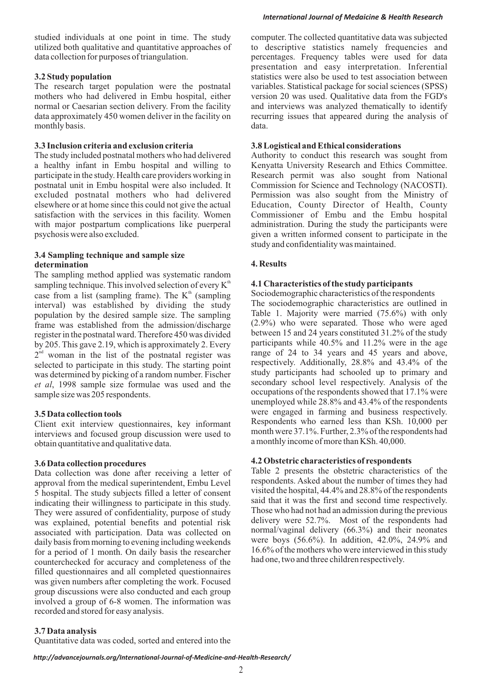The research target population were the postnatal variables. Statistical package for social sciences (SPSS) mothers who had delivered in Embu hospital, either version 20 was used. Qualitative data from the FGD's normal or Caesarian section delivery. From the facility and interviews was analyzed thematically to identify data approximately 450 women deliver in the facility on recurring issues that appeared during the analysis of monthly basis.  $data$ .

**3.3 Inclusion criteria and exclusion criteria 3.8 Logistical and Ethical considerations**<br>The study included postnatal mothers who had delivered Authority to conduct this research was a healthy infant in Embu hospital and willing to Kenyatta University Research and Ethics Committee.<br>
participate in the study. Health care providers working in Research permit was also sought from National participate in the study. Health care providers working in Research permit was also sought from National postnatal unit in Embu hospital were also included. It Commission for Science and Technology (NACOSTI). excluded postnatal mothers who had delivered Permission was also sought from the Ministry of elsewhere or at home since this could not give the actual Education, County Director of Health, County satisfaction with the services in this facility. Women Commissioner of Embu and the Embu hospital with major postpartum complications like puerperal administration. During the study the participants were psychosis were also excluded.<br>given a written informed consent to participate in the

## **3.4 Sampling technique and sample size determination 4. Results**

The sampling method applied was systematic random sampling technique. This involved selection of every  $K^{\text{th}}$  **4.1 Characteristics of the study participants**<br>case from a list (sampling frame) The  $K^{\text{th}}$  (sampling Sociodemographic characteristics of the respondents case from a list (sampling frame). The  $K^h$  (sampling Sociodemographic characteristics of the respondents interval) was established by dividing the study The sociodemographic characteristics are outlined in nonulation by the desired sample size. The sampling Table 1. Majority were married (75.6%) with only population by the desired sample size. The sampling Table 1. Majority were married  $(75.6%)$  with only the desired sample size. The sampling  $(2.9%)$  who were separated. Those who were aged frame was established from the admission/discharge  $(2.9\%)$  who were separated. Those who were aged register in the nost natal ward Therefore 450 was divided between 15 and 24 years constituted 31.2% of the study between 15 and 24 years constituted 31.2% of the study<br>by 205 This gave 2.19 which is approximately 2 Fyery participants while 40.5% and 11.2% were in the age by 205. This gave 2.19, which is approximately 2. Every participants while 40.5% and 11.2% were in the age  $2^{nd}$  woman in the list of the nostnatal register was range of 24 to 34 years and 45 years and above,  $2<sup>nd</sup>$  woman in the list of the postnatal register was range of 24 to 34 years and 45 years and above,  $28.8\%$  and 43.4% of the starting point respectively. Additionally, 28.8% and 43.4% of the selected to participate in this study. The starting point respectively. Additionally, 28.8% and 43.4% of the study participants had schooled up to primary and was determined by picking of a random number Fischer was determined by picking of a random number. Fischer study participants had schooled up to primary and det al. 1998 sample size formulae was used and the secondary school level respectively. Analysis of the et al, 1998 sample size formulae was used and the sample size was 205 respondents.<br>sample size was 205 respondents.

interviews and focused group discussion were used to a monthly income of more than KSh. 40,000.<br>a monthly income of more than KSh. 40,000.

Data collection was done after receiving a letter of Table 2 presents the obstetric characteristics of the controval from the medical superintendent Embu Level respondents. Asked about the number of times they had approval from the medical superintendent, Embu Level respondents. Asked about the number of times they had<br>5 hospital. The study subjects filled a letter of consent visited the hospital, 44.4% and 28.8% of the respondents 5 hospital. The study subjects filled a letter of consent visited the hospital, 44.4% and 28.8% of the respondents indicating their williamess to participate in this study said that it was the first and second time respect indicating their willingness to participate in this study. Said that it was the first and second time respectively.<br>They were assured of confidentiality purpose of study. Those who had not had an admission during the previ They were assured of confidentiality, purpose of study<br>were the previous and not had not had an admission during the previous<br>delivery were 52.7%. Most of the respondents had was explained, potential benefits and potential risk delivery were 52.7%. Most of the respondents had expociated with participation. Data was collected on normal/vaginal delivery (66.3%) and their neonates associated with participation. Data was collected on  $\frac{100 \text{ m} \cdot \text{m}}{200 \text{ m} \cdot \text{m}}$  and their neonates daily basis from morning to evening including weekends were boys (56.6%). In addition, 42.0%, 24.9% and daily basis from morning to evening including weekends<br>for a period of 1 month. On daily basis the reception and  $16.6\%$  of the mothers who were interviewed in this study 16.6% of the mothers who were interviewed<br>counterchecked for accuracy and completeness of the had one, two and three children respectively. counterchecked for accuracy and completeness of the filled questionnaires and all completed questionnaires was given numbers after completing the work. Focused group discussions were also conducted and each group involved a group of 6-8 women. The information was recorded and stored for easy analysis.

# *International Journal of Medaicine & Health Research*

studied individuals at one point in time. The study computer. The collected quantitative data was subjected utilized both qualitative and quantitative approaches of to descriptive statistics namely frequencies and data collection for purposes of triangulation. Prequency tables were used for data percentages. Frequency tables were used for data presentation and easy interpretation. Inferential **3.2 Study population** statistics were also be used to test association between version 20 was used. Qualitative data from the FGD's

Authority to conduct this research was sought from Commission for Science and Technology (NACOSTI). given a written informed consent to participate in the study and confidentiality was maintained.

unemployed while 28.8% and 43.4% of the respondents **3.5 Data collection tools**<br>Client exit interview questionnaires key informant Respondents who earned less than KSh. 10,000 per Client exit interview questionnaires, key informant<br>interviews and focused group discussion were used to month were  $37.1\%$ . Further,  $2.3\%$  of the respondents had

**4.2 Obstetric characteristics of respondents**<br>Data collection was done after receiving a letter of Table 2 presents the obstetric characteristics of the

# **3.7 Data analysis**

Quantitative data was coded, sorted and entered into the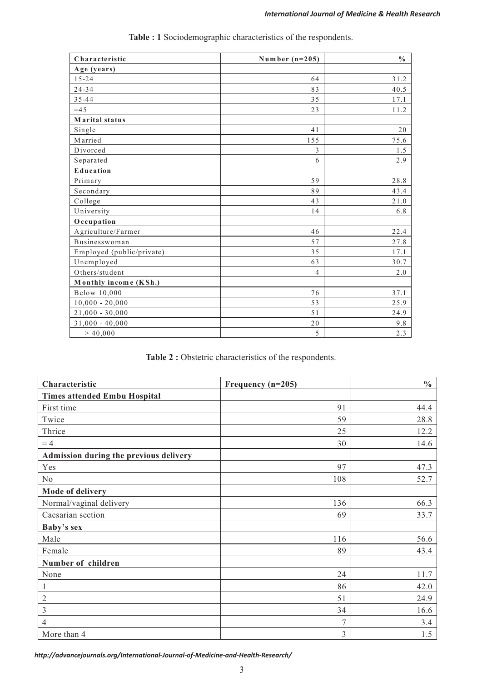| Characteristic            | Number $(n=205)$ | $\frac{0}{0}$ |
|---------------------------|------------------|---------------|
| Age (years)               |                  |               |
| $15 - 24$                 | 64               | 31.2          |
| $24 - 34$                 | 83               | 40.5          |
| $35 - 44$                 | 35               | 17.1          |
| $=45$                     | 23               | 11.2          |
| Marital status            |                  |               |
| Single                    | 41               | 20            |
| Married                   | 155              | 75.6          |
| Divorced                  | 3                | 1.5           |
| Separated                 | 6                | 2.9           |
| Education                 |                  |               |
| Primary                   | 59               | 28.8          |
| Secondary                 | 89               | 43.4          |
| College                   | 43               | 21.0          |
| University                | 14               | 6.8           |
| Occupation                |                  |               |
| Agriculture/Farmer        | 46               | 22.4          |
| Businesswoman             | 57               | 27.8          |
| Employed (public/private) | 35               | 17.1          |
| Unemployed                | 63               | 30.7          |
| Others/student            | $\overline{4}$   | 2.0           |
| Monthly income (KSh.)     |                  |               |
| Below 10,000              | 76               | 37.1          |
| $10,000 - 20,000$         | 53               | 25.9          |
| $21,000 - 30,000$         | 51               | 24.9          |
| $31,000 - 40,000$         | 20               | 9.8           |
| > 40,000                  | 5                | 2.3           |

**Table : 1** Sociodemographic characteristics of the respondents.

| Characteristic                         | Frequency (n=205) | $\frac{0}{0}$ |
|----------------------------------------|-------------------|---------------|
| <b>Times attended Embu Hospital</b>    |                   |               |
| First time                             | 91                | 44.4          |
| Twice                                  | 59                | 28.8          |
| Thrice                                 | 25                | 12.2          |
| $=4$                                   | 30                | 14.6          |
| Admission during the previous delivery |                   |               |
| Yes                                    | 97                | 47.3          |
| No                                     | 108               | 52.7          |
| Mode of delivery                       |                   |               |
| Normal/vaginal delivery                | 136               | 66.3          |
| Caesarian section                      | 69                | 33.7          |
| Baby's sex                             |                   |               |
| Male                                   | 116               | 56.6          |
| Female                                 | 89                | 43.4          |
| Number of children                     |                   |               |
| None                                   | 24                | 11.7          |
| 1                                      | 86                | 42.0          |
| $\overline{2}$                         | 51                | 24.9          |
| 3                                      | 34                | 16.6          |
| $\overline{4}$                         | $\overline{7}$    | 3.4           |
| More than 4                            | 3                 | 1.5           |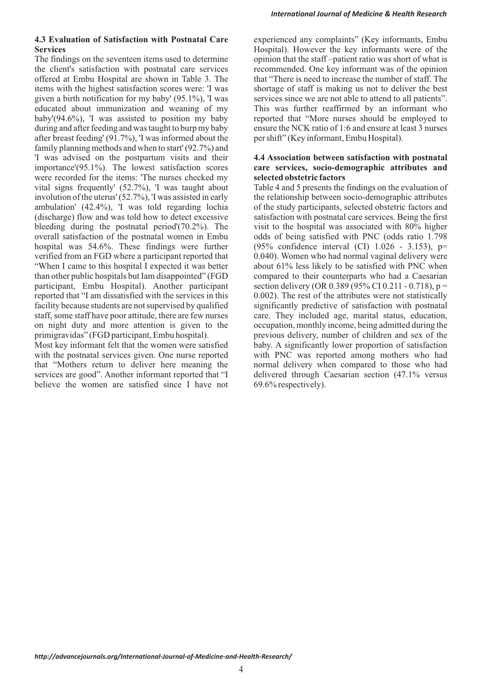# **Services** Hospital). However the key informants were of the

The findings on the seventeen items used to determine opinion that the staff –patient ratio was short of what is the client's satisfaction with postnatal care services recommended. One key informant was of the opinion offered at Embu Hospital are shown in Table 3. The that "There is need to increase the number of staff. The items with the highest satisfaction scores were: 'I was shortage of staff is making us not to deliver the best given a birth notification for my baby' (95.1%), 'I was services since we are not able to attend to all patients". educated about immunization and weaning of my<br>baby This was further reaffirmed by an informant who<br>baby (94.6%), T was assisted to position my baby<br>reported that "More nurses should be employed to baby'(94.6%), 'I was assisted to position my baby during and after feeding and was taught to burp my baby ensure the NCK ratio of 1:6 and ensure at least 3 nurses after breast feeding' (91.7%), 'I was informed about the per shift" (Key informant, Embu Hospital). family planning methods and when to start' (92.7%) and 'I was advised on the postpartum visits and their **4.4 Association between satisfaction with postnatal**  importance'(95.1%). The lowest satisfaction scores **care services, socio-demographic attributes and**  were recorded for the items: 'The nurses checked my **selected obstetric factors** vital signs frequently' (52.7%), 'I was taught about Table 4 and 5 presents the findings on the evaluation of involution of the uterus' (52.7%), 'I was assisted in early the relationship between socio-demographic attributes ambulation' (42.4%), 'I was told regarding lochia of the study participants, selected obstetric factors and (discharge) flow and was told how to detect excessive satisfaction with postnatal care services. Being the first bleeding during the postnatal period'( $70.2\%$ ). The visit to the hospital was associated with 80% higher overall satisfaction of the postnatal women in Embu odds of being satisfied with PNC (odds ratio 1.798 hospital was 54.6%. These findings were further (95% confidence interval (CI) 1.026 - 3.153), p= verified from an FGD where a participant reported that 0.040). Women who had normal vaginal delivery were "When I came to this hospital I expected it was better about 61% less likely to be satisfied with PNC when than other public hospitals but Iam disappointed" (FGD compared to their counterparts who had a Caesarian participant, Embu Hospital). Another participant section delivery (OR 0.389 (95% CI 0.211 - 0.718),  $p =$ reported that "I am dissatisfied with the services in this 0.002). The rest of the attributes were not statistically facility because students are not supervised by qualified significantly predictive of satisfaction with postnatal staff, some staff have poor attitude, there are few nurses care. They included age, marital status, education, on night duty and more attention is given to the occupation, monthly income, being admitted during the primigravidas" (FGD participant, Embu hospital). previous delivery, number of children and sex of the

Most key informant felt that the women were satisfied baby. A significantly lower proportion of satisfaction with the postnatal services given. One nurse reported with PNC was reported among mothers who had that "Mothers return to deliver here meaning the normal delivery when compared to those who had services are good". Another informant reported that "I delivered through Caesarian section (47.1% versus believe the women are satisfied since I have not 69.6% respectively).

**4.3 Evaluation of Satisfaction with Postnatal Care** experienced any complaints" (Key informants, Embu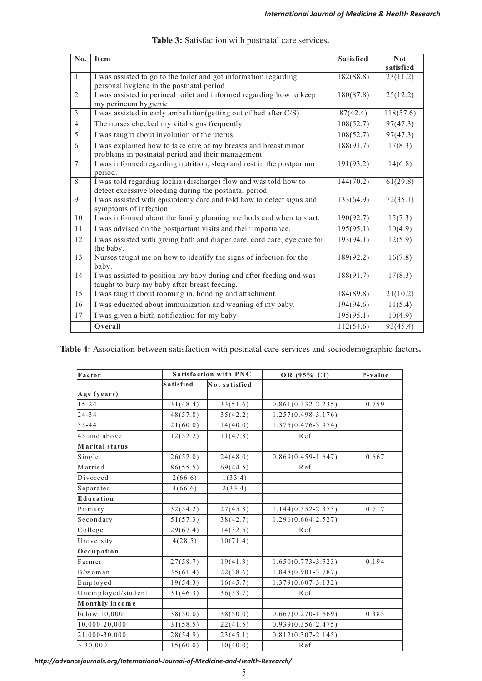| No.            | <b>Item</b>                                                                                                                | <b>Satisfied</b> | <b>Not</b><br>satisfied |
|----------------|----------------------------------------------------------------------------------------------------------------------------|------------------|-------------------------|
| $\mathbf{1}$   | I was assisted to go to the toilet and got information regarding<br>personal hygiene in the postnatal period               | 182(88.8)        | 23(11.2)                |
| $\mathfrak{2}$ | I was assisted in perineal toilet and informed regarding how to keep<br>my perineum hygienic                               | 180(87.8)        | 25(12.2)                |
| $\mathfrak{Z}$ | I was assisted in early ambulation(getting out of bed after C/S)                                                           | 87(42.4)         | 118(57.6)               |
| $\overline{4}$ | The nurses checked my vital signs frequently.                                                                              | 108(52.7)        | 97(47.3)                |
| $\overline{5}$ | I was taught about involution of the uterus.                                                                               | 108(52.7)        | 97(47.3)                |
| $\overline{6}$ | I was explained how to take care of my breasts and breast minor<br>problems in postnatal period and their management.      | 188(91.7)        | 17(8.3)                 |
| $\overline{7}$ | I was informed regarding nutrition, sleep and rest in the postpartum<br>period.                                            | 191(93.2)        | 14(6.8)                 |
| 8              | I was told regarding lochia (discharge) flow and was told how to<br>detect excessive bleeding during the postnatal period. | 144(70.2)        | 61(29.8)                |
| 9              | I was assisted with episiotomy care and told how to detect signs and<br>symptoms of infection.                             | 133(64.9)        | 72(35.1)                |
| 10             | I was informed about the family planning methods and when to start.                                                        | 190(92.7)        | 15(7.3)                 |
| 11             | I was advised on the postpartum visits and their importance.                                                               | 195(95.1)        | 10(4.9)                 |
| 12             | I was assisted with giving bath and diaper care, cord care, eye care for<br>the baby.                                      | 193(94.1)        | 12(5.9)                 |
| 13             | Nurses taught me on how to identify the signs of infection for the<br>baby.                                                | 189(92.2)        | 16(7.8)                 |
| 14             | I was assisted to position my baby during and after feeding and was<br>taught to burp my baby after breast feeding.        | 188(91.7)        | 17(8.3)                 |
| 15             | I was taught about rooming in, bonding and attachment.                                                                     | 184(89.8)        | 21(10.2)                |
| 16             | I was educated about immunization and weaning of my baby.                                                                  | 194(94.6)        | 11(5.4)                 |
| 17             | I was given a birth notification for my baby                                                                               | 195(95.1)        | 10(4.9)                 |
|                | Overall                                                                                                                    | 112(54.6)        | 93(45.4)                |

**Table 4:** Association between satisfaction with postnatal care services and sociodemographic factors**.** 

| Factor             |                  | <b>Satisfaction with PNC</b> | OR (95% CI)            | P-value |
|--------------------|------------------|------------------------------|------------------------|---------|
|                    | <b>Satisfied</b> | Not satisfied                |                        |         |
| Age (years)        |                  |                              |                        |         |
| $15 - 24$          | 31(48.4)         | 33(51.6)                     | $0.861(0.332 - 2.235)$ | 0.759   |
| $24 - 34$          | 48(57.8)         | 35(42.2)                     | $1.257(0.498 - 3.176)$ |         |
| $35 - 44$          | 21(60.0)         | 14(40.0)                     | $1.375(0.476 - 3.974)$ |         |
| 45 and above       | 12(52.2)         | 11(47.8)                     | Ref                    |         |
| Marital status     |                  |                              |                        |         |
| Single             | 26(52.0)         | 24(48.0)                     | $0.869(0.459 - 1.647)$ | 0.667   |
| M arried           | 86(55.5)         | 69(44.5)                     | Ref                    |         |
| Divorced           | 2(66.6)          | 1(33.4)                      |                        |         |
| Separated          | 4(66.6)          | 2(33.4)                      |                        |         |
| Education          |                  |                              |                        |         |
| Primary            | 32(54.2)         | 27(45.8)                     | $1.144(0.552 - 2.373)$ | 0.717   |
| Secondary          | 51(57.3)         | 38(42.7)                     | $1.296(0.664 - 2.527)$ |         |
| College            | 29(67.4)         | 14(32.5)                     | Ref                    |         |
| University         | 4(28.5)          | 10(71.4)                     |                        |         |
| Occupation         |                  |                              |                        |         |
| Farmer             | 27(58.7)         | 19(41.3)                     | $1.650(0.773 - 3.523)$ | 0.194   |
| $B/w$ om an        | 35(61.4)         | 22(38.6)                     | $1.848(0.901 - 3.787)$ |         |
| Employed           | 19(54.3)         | 16(45.7)                     | $1.379(0.607 - 3.132)$ |         |
| Unemployed/student | 31(46.3)         | 36(53.7)                     | Ref                    |         |
| Monthly income     |                  |                              |                        |         |
| below 10,000       | 38(50.0)         | 38(50.0)                     | $0.667(0.270-1.669)$   | 0.385   |
| 10,000-20,000      | 31(58.5)         | 22(41.5)                     | $0.939(0.356 - 2.475)$ |         |
| 21,000-30,000      | 28(54.9)         | 23(45.1)                     | $0.812(0.307 - 2.145)$ |         |
| > 30,000           | 15(60.0)         | 10(40.0)                     | Ref                    |         |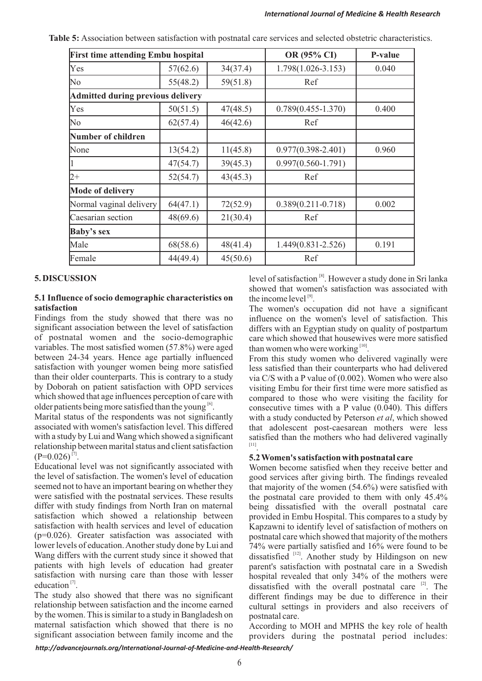| <b>First time attending Embu hospital</b> |          | OR (95% CI) | P-value                |       |
|-------------------------------------------|----------|-------------|------------------------|-------|
| Yes                                       | 57(62.6) | 34(37.4)    | 1.798(1.026-3.153)     | 0.040 |
| N <sub>o</sub>                            | 55(48.2) | 59(51.8)    | Ref                    |       |
| Admitted during previous delivery         |          |             |                        |       |
| Yes                                       | 50(51.5) | 47(48.5)    | $0.789(0.455 - 1.370)$ | 0.400 |
| No                                        | 62(57.4) | 46(42.6)    | Ref                    |       |
| <b>Number of children</b>                 |          |             |                        |       |
| None                                      | 13(54.2) | 11(45.8)    | $0.977(0.398 - 2.401)$ | 0.960 |
|                                           | 47(54.7) | 39(45.3)    | $0.997(0.560 - 1.791)$ |       |
| $2+$                                      | 52(54.7) | 43(45.3)    | Ref                    |       |
| <b>Mode of delivery</b>                   |          |             |                        |       |
| Normal vaginal delivery                   | 64(47.1) | 72(52.9)    | $0.389(0.211 - 0.718)$ | 0.002 |
| Caesarian section                         | 48(69.6) | 21(30.4)    | Ref                    |       |
| <b>Baby's sex</b>                         |          |             |                        |       |
| Male                                      | 68(58.6) | 48(41.4)    | 1.449(0.831-2.526)     | 0.191 |
| Female                                    | 44(49.4) | 45(50.6)    | Ref                    |       |

**Table 5:** Association between satisfaction with postnatal care services and selected obstetric characteristics.

# **5.1 Influence of socio demographic characteristics on satisfaction**

Findings from the study showed that there was no<br>significant association between the level of satisfaction differs with an Egyptian study on quality of postpartum significant association between the level of satisfaction differs with an Egyptian study on quality of postpartum<br>of postnatal women and the socio-demographic care which showed that housewives were more satisfied variables. The most satisfied women  $(57.8\%)$  were aged than women who were working  $\frac{100}{10}$ . between 24-34 years. Hence age partially influenced From this study women who delivered vaginally were

Marital status of the respondents was not significantly with a study conducted by Peterson *et al*, which showed associated with women's satisfaction level. This differed that adolescent post-caesarean mothers were less associated with women's satisfaction level. This differed that adolescent post-caesarean mothers were less with a study by Lui and Wang which showed a significant satisfied than the mothers who had delivered vaginally relationship between marital status and client satisfaction  $(P=0.026)^{[7]}$ .

 $[(-1.026)]^{1/4}$ .<br>Educational level was not significantly associated with Women become satisfied when they receive by Educational level was not significantly associated with Women become satisfied when they receive by Educational level was not significantly associated with Women become satisfied when they receive better and the level of satisfaction. The women's level of education good services after giving birth. The findings revealed the level of satisfaction. The women's level of education good services after giving birth. The findings revealed seemed not to have an important bearing on whether they that majority of the women (54.6%) were satisfied wi were satisfied with the postnatal services. These results the postnatal care provided to them with only 45.4% differ with study findings from North Iran on maternal being dissatisfied with the overall postnatal care satisfaction which showed a relationship between provided in Embu Hospital. This compares to a study by satisfaction which showed a relationship between provided in Embu Hospital. This compares to a study by satisfaction with health services and level of education Kanzawni to identify level of satisfaction of mothers on satisfaction with health services and level of education Kapzawni to identify level of satisfaction of mothers on (p=0.026). Greater satisfaction was associated with postnatal care which showed that majority of the mothers ( $p=0.026$ ). Greater satisfaction was associated with postnatal care which showed that majority of the mothers lower levels of education. Another study done by Lui and  $74\%$  were partially satisfied and 16% were found to lower levels of education. Another study done by Lui and  $\frac{74\%}{12}$  were partially satisfied and 16% were found to be Wang differs with the current study since it showed that dissatisfied  $\frac{1}{2}$ . Another study by Hi Wang differs with the current study since it showed that dissatisfied <sup>[12]</sup>. Another study by Hildingson on new patients with high levels of education had greater parent's satisfaction with postnatal care in a Swedish patients with high levels of education had greater parent's satisfaction with postnatal care in a Swedish satisfaction with nursing care than those with lesser hospital revealed that only 34% of the mothers were satisfaction with nursing care than those with lesser hospital revealed that only 34% of the mothers were education<sup>[7]</sup>. The distriction with the overall nosthatal care <sup>[2]</sup> The

The study also showed that there was no significant different findings may be due to difference in their relationship between satisfaction and the income earned cultural settings in providers and also receivers of by the women. This is similar to a study in Bangladesh on postnatal care. maternal satisfaction which showed that there is no<br>seconding to MOH and MPHS the key role of health<br>significant association between family income and the providers during the postnatal period includes:

**5. DISCUSSION** level of satisfaction <sup>[8]</sup>. However a study done in Sri lanka showed that women's satisfaction was associated with the income level  $[9]$ 

**satisfaction**<br> **Satisfaction**<br> **Findings** from the study showed that there was no<br> **Satisfaction**<br> **Findings** from the study showed that there was no<br> **Influence** on the women's level of satisfaction. This care which showed that housewives were more satisfied

satisfaction with younger women being more satisfied less satisfied than their counterparts who had delivered<br>than their older counterparts. This is contrary to a study via C/S with a P value of (0.002) Women who were also than their older counterparts. This is contrary to a study via C/S with a P value of (0.002). Women who were also<br>by Doborah on patient satisfaction with OPD services visiting Embu for their first time were more satisfied by Doborah on patient satisfaction with OPD services visiting Embu for their first time were more satisfied as which showed that age influences perception of care with compared to those who were visiting the facility for which showed that age influences perception of care with compared to those who were visiting the facility for older patients being more satisfied than the young  $\frac{[6]}{]}$ . consecutive times with a P value  $(0.040)$ . This differs satisfied than the mothers who had delivered vaginally  $[11]$ 

that majority of the women  $(54.6\%)$  were satisfied with education<sup>[7]</sup>. dissatisfied with the overall postnatal care <sup>[2]</sup>. The study also showed that there was no significant different findings may be due to difference in their cultural settings in providers and also receivers of

providers during the postnatal period includes: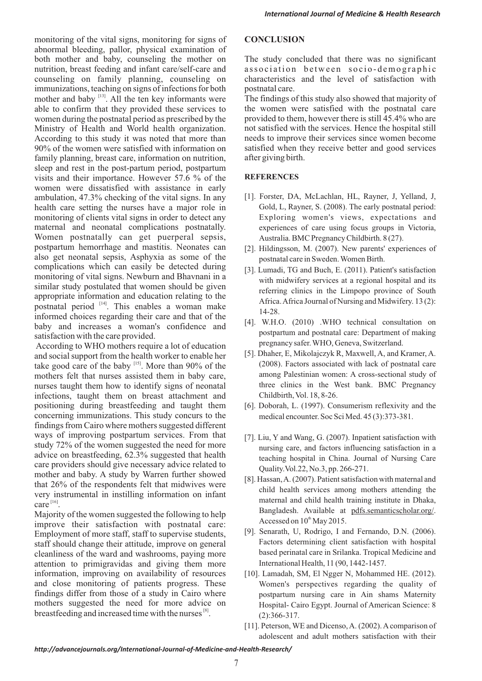monitoring of the vital signs, monitoring for signs of **CONCLUSION** abnormal bleeding, pallor, physical examination of both mother and baby, counseling the mother on The study concluded that there was no significant nutrition, breast feeding and infant care/self-care and association between socio-demographic nutrition, breast feeding and infant care/self-care and counseling on family planning, counseling on characteristics and the level of satisfaction with immunizations, teaching on signs of infections for both postnatal care. mother and baby <sup>[13]</sup>. All the ten key informants were The findings of this study also showed that majority of able to confirm that they provided these services to the women were satisfied with the postnatal care women during the postnatal period as prescribed by the provided to them, however there is still 45.4% who are women during the postnatal period as prescribed by the Ministry of Health and World health organization. not satisfied with the services. Hence the hospital still According to this study it was noted that more than needs to improve their services since women become 90% of the women were satisfied with information on satisfied when they receive better and good services family planning, breast care, information on nutrition, after giving birth. sleep and rest in the post-partum period, postpartum visits and their importance. However 57.6 % of the **REFERENCES** women were dissatisfied with assistance in early ambulation, 47.3% checking of the vital signs. In any [1]. Forster, DA, McLachlan, HL, Rayner, J, Yelland, J, health care setting the nurses have a major role in Gold, L, Rayner, S. (2008). The early postnatal period: health care setting the nurses have a major role in monitoring of clients vital signs in order to detect any Exploring women's views, expectations and maternal and neonatal complications postnatally. experiences of care using focus groups in Victoria, Women postnatally can get puerperal sepsis, Australia. BMC Pregnancy Childbirth. 8 (27). postpartum hemorrhage and mastitis. Neonates can [2]. Hildingsson, M. (2007). New parents' experiences of also get neonatal sepsis, Asphyxia as some of the postnatal care in Sweden. Women Birth.<br>complications which can easily be detected during [3] I umadi TG and Buch E (2011) Patie complications which can easily be detected during [3]. Lumadi, TG and Buch, E. (2011). Patient's satisfaction<br>monitoring of vital signs. Newburn and Bhavnani in a monitoring of vital signs. Newburn and Bhavnani in a with midwifery services at a regional hospital and its similar study postulated that women should be given similar study posuitated that women should be given<br>appropriate information and education relating to the<br>postnatal period <sup>[4]</sup>. This enables a woman make<br>informed choices regarding their care and that of the<br>labels and t baby and increases a woman's confidence and

According to WHO mothers require a lot of education pregnancy safer. WHO, Geneva, Switzerland.<br>And social support from the health worker to enable her [5]. Dhaher, E, Mikolajczyk R, Maxwell, A, and Kramer, A. and social support from the health worker to enable her [5]. Dhaher, E, Mikolajczyk R, Maxwell, A, and Kramer, A. and Social support from the health worker to enable her  $(2008)$ . Factors associated with lack of postnatal take good care of the baby  $^{[15]}$ . More than 90% of the (2008). Factors associated with lack of postnatal care mothers felt that nurses assisted them in baby care. among Palestinian women: A cross-sectional study of mothers felt that nurses assisted them in baby care, among Palestinian women: A cross-sectional study of nurses taught them how to identify signs of neonatal three clinics in the West bank. BMC Pregnancy nurses taught them how to identify signs of neonatal infections, taught them on breast attachment and Childbirth, Vol. 18, 8-26. positioning during breastfeeding and taught them [6]. Doborah, L. (1997). Consumerism reflexivity and the concerning immunizations. This study concurs to the medical encounter. Soc Sci Med. 45 (3):373-381. findings from Cairo where mothers suggested different ways of improving postpartum services. From that [7]. Liu, Y and Wang, G. (2007). Inpatient satisfaction with advice on breastfeeding, 62.3% suggested that health teaching hospital in China. Journal of Nursing Care<br>care providers should give necessary advice related to Cality.Vol.22, No.3, pp. 266-271.<br>
mother and baby. A study by Warren further showed<br>
that 26% of the respondents felt that midwives were<br>
later and baby. A study by Warren further showed<br>
(8). Hassan, A. (2007). Patient s very instrumental in instilling information on infant care $^{[16]}$ .

Bangladesh. Available at pdfs.semanticscholar.org/.<br>Majority of the women suggested the following to help<br>improve their satisfaction with postnatal care: Accessed on 10<sup>th</sup> May 2015.<br>Fundownent of more staff staff to super Employment of more staff, staff to supervise students, [9]. Senarath, U, Rodrigo, I and Fernando, D.N. (2006).<br>
Externation with hospital Factors determining client satisfaction with hospital<br>
Externation staff should chan staff should change their attitude, improve on general Factors determining client satisfaction with hospital<br>cleanliness of the ward and washrooms, paving more based perinatal care in Srilanka. Tropical Medicine and cleanliness of the ward and washrooms, paying more based perinatal care in Srilanka. Tropical attention to primigravidas and giving them more International Health, 11 (90, 1442-1457. attention to primigravidas and giving them more information, improving on availability of resources [10]. Lamadah, SM, El Ngger N, Mohammed HE. (2012). and close monitoring of patients progress. These Women's perspectives regarding the quality of findings differ from those of a study in Cairo where postpartum nursing care in Ain shams Maternity<br>mothers suggested the need for more advice on Hospital-Cairo Egypt Journal of American Science: 8 breastfeeding and increased time with the nurses  $^{8}$ . (2):366-317.

- 
- 
- 
- postpartum and postnatal care: Department of making<br>atisfaction with the care provided.<br>According to WHO mothers require a let of education pregnancy safer. WHO, Geneva, Switzerland.
	-
	-
	- nursing care, and factors influencing satisfaction in a
	- maternal and child health training institute in Dhaka,
	-
	- Hospital- Cairo Egypt. Journal of American Science: 8
	- [11]. Peterson, WE and Dicenso, A. (2002). A comparison of adolescent and adult mothers satisfaction with their